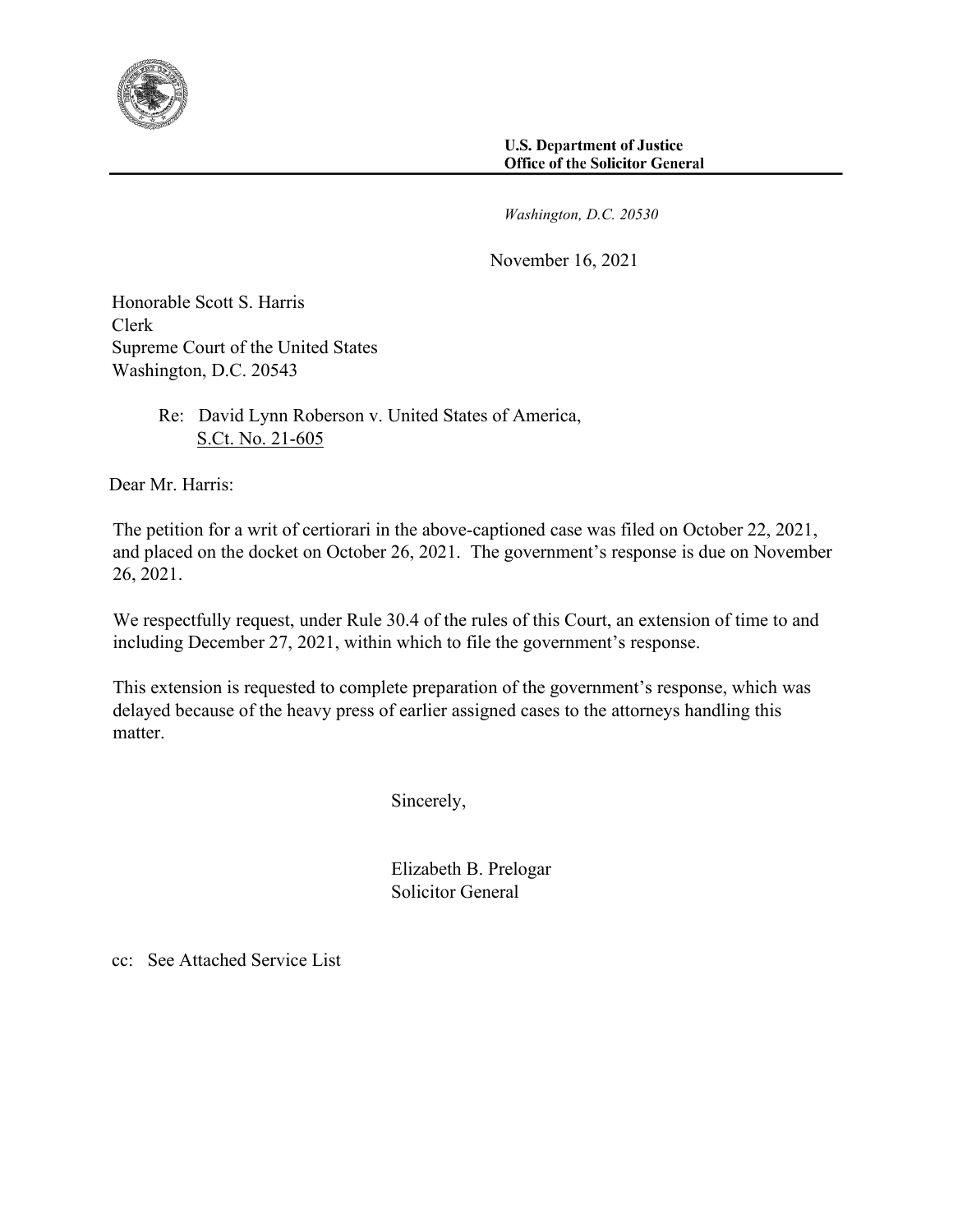

*Washington, D.C. 20530* 

November 16, 2021

Honorable Scott S. Harris Clerk Supreme Court of the United States Washington, D.C. 20543

> Re: David Lynn Roberson v. United States of America, S.Ct. No. 21-605

Dear Mr. Harris:

 The petition for a writ of certiorari in the above-captioned case was filed on October 22, 2021, and placed on the docket on October 26, 2021. The government's response is due on November 26, 2021.

 We respectfully request, under Rule 30.4 of the rules of this Court, an extension of time to and including December 27, 2021, within which to file the government's response.

 This extension is requested to complete preparation of the government's response, which was delayed because of the heavy press of earlier assigned cases to the attorneys handling this matter.

Sincerely,

 Elizabeth B. Prelogar Solicitor General

cc: See Attached Service List